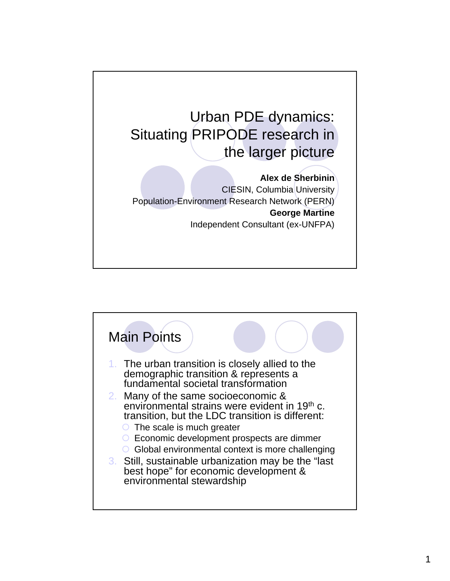

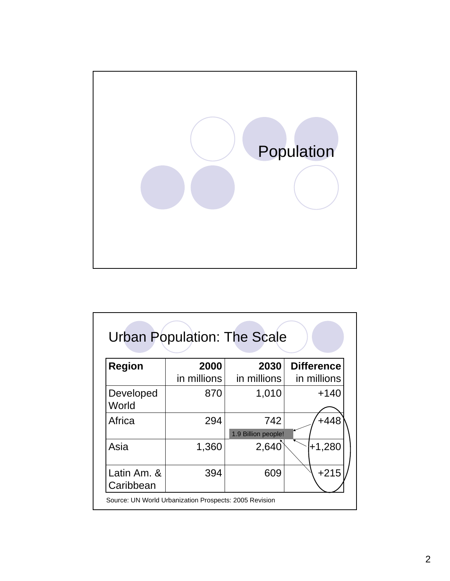

| <b>Region</b>            | 2000        | 2030                       | <b>Difference</b> |
|--------------------------|-------------|----------------------------|-------------------|
|                          | in millions | in millions                | in millions       |
| Developed<br>World       | 870         | 1,010                      | $+140$            |
| Africa                   | 294         | 742<br>1.9 Billion people! | $+448$            |
| Asia                     | 1,360       | 2,640                      | $+1,280$          |
| Latin Am. &<br>Caribbean | 394         | 609                        | $+215$            |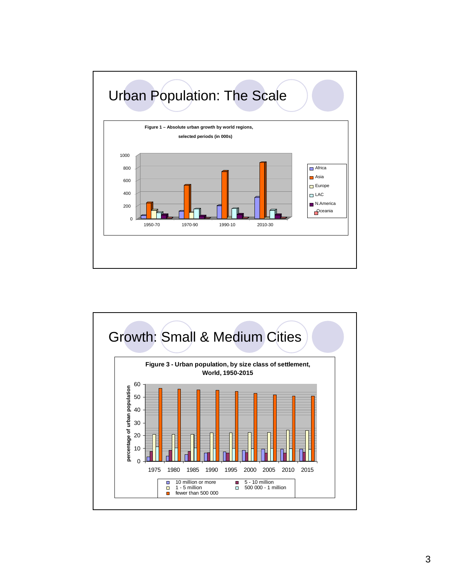

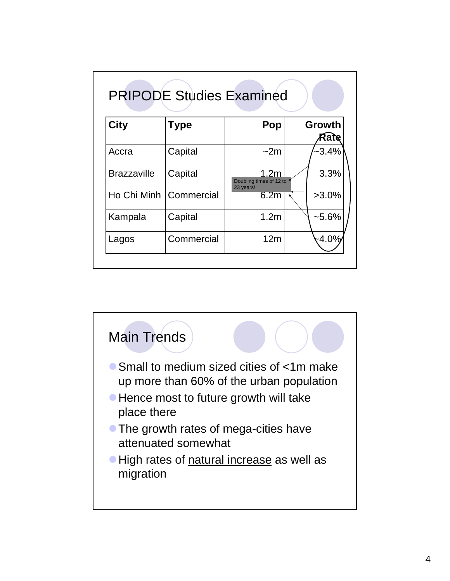| <b>City</b>        | Type       | Pop                                         | Growth<br>Rate |
|--------------------|------------|---------------------------------------------|----------------|
| Accra              | Capital    | $-2m$                                       | $-3.4\%$       |
| <b>Brazzaville</b> | Capital    | 1.2 <sub>m</sub><br>Doubling times of 12 to | 3.3%           |
| Ho Chi Minh        | Commercial | 23 years!<br>6.2m                           | $>3.0\%$       |
| Kampala            | Capital    | 1.2 <sub>m</sub>                            | $-5.6%$        |
| Lagos              | Commercial | 12 <sub>m</sub>                             | -4.0%          |

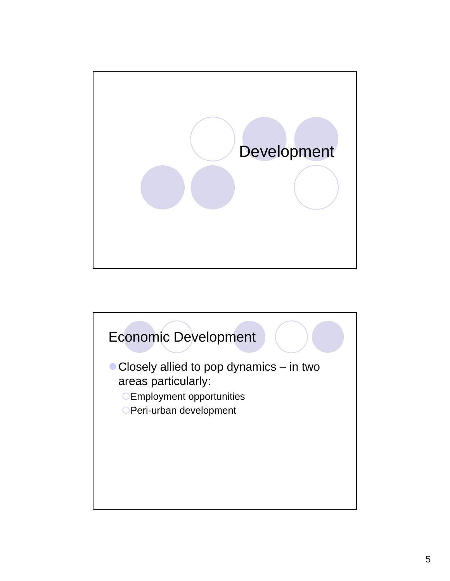

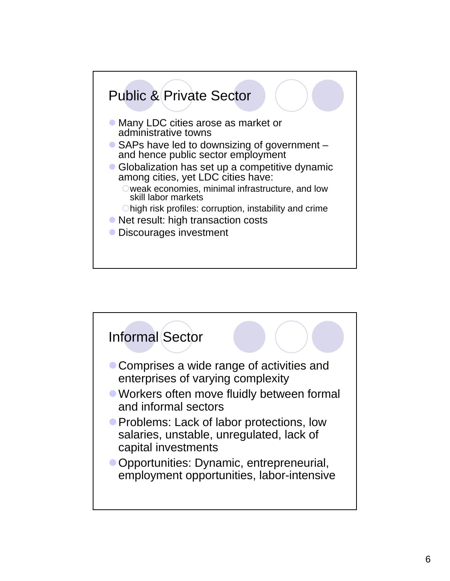

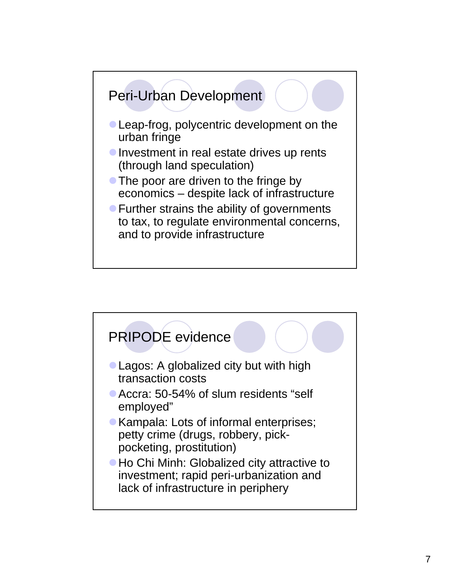

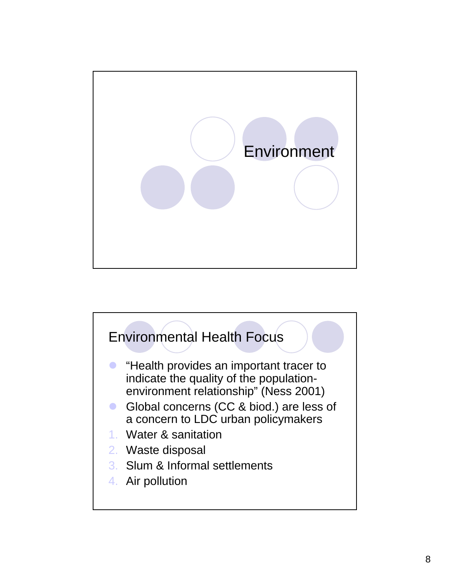

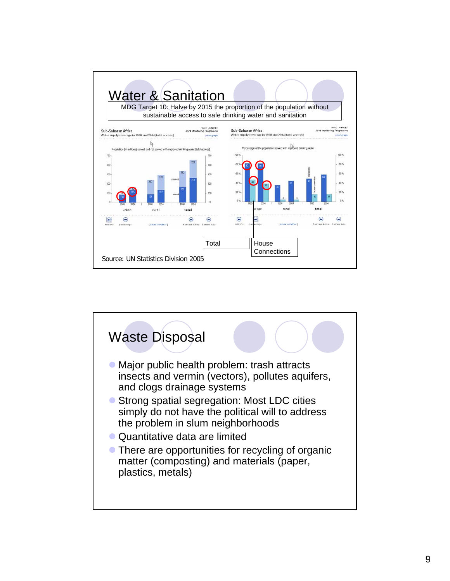

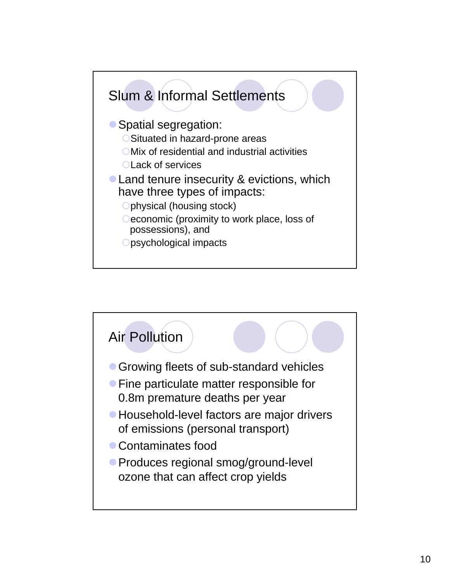

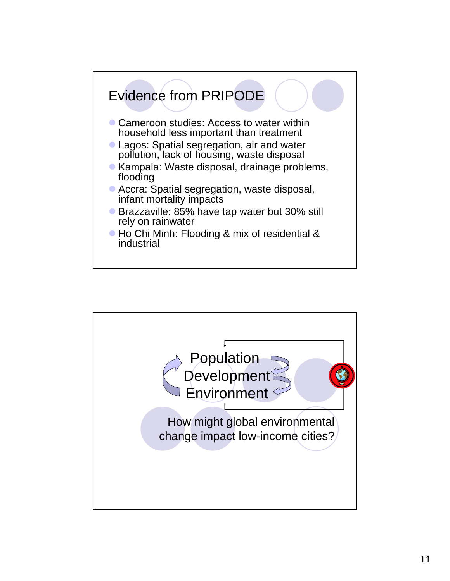

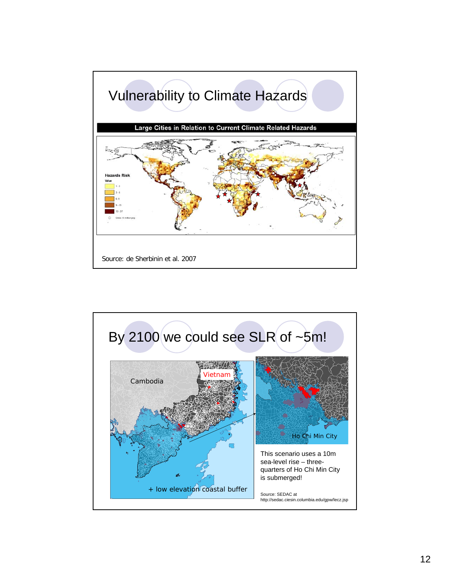

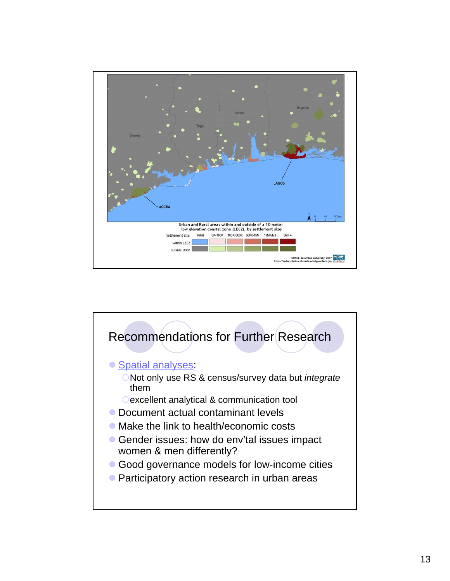

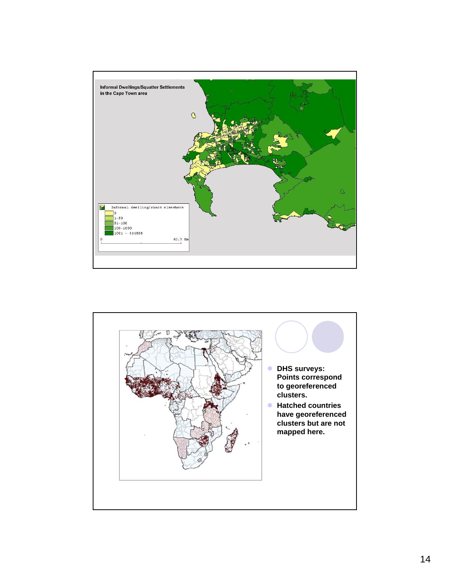